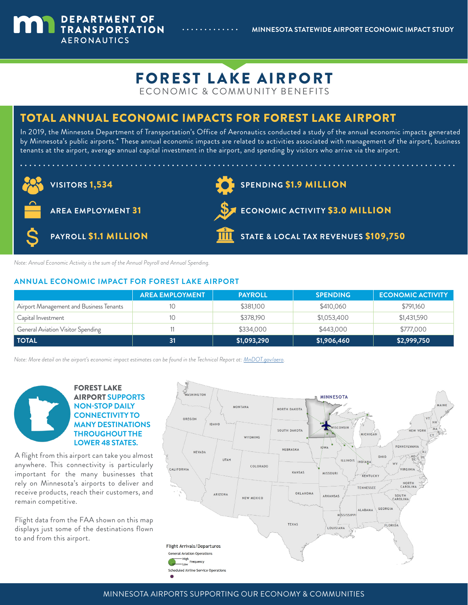**MINNESOTA STATEWIDE AIRPORT ECONOMIC IMPACT STUDY**



# TOTAL ANNUAL ECONOMIC IMPACTS FOR FOREST LAKE AIRPORT

In 2019, the Minnesota Department of Transportation's Office of Aeronautics conducted a study of the annual economic impacts generated by Minnesota's public airports.\* These annual economic impacts are related to activities associated with management of the airport, business tenants at the airport, average annual capital investment in the airport, and spending by visitors who arrive via the airport.



*Note: Annual Economic Activity is the sum of the Annual Payroll and Annual Spending.*

DEPARTMENT OF TRANSPORTATION

**AERONAUTICS** 

### **ANNUAL ECONOMIC IMPACT FOR FOREST LAKE AIRPORT**

|                                         | <b>AREA EMPLOYMENT</b> | <b>PAYROLL</b> | <b>SPENDING</b> | <b>ECONOMIC ACTIVITY</b> |
|-----------------------------------------|------------------------|----------------|-----------------|--------------------------|
| Airport Management and Business Tenants |                        | \$381,100      | \$410,060       | \$791,160                |
| Capital Investment                      |                        | \$378,190      | \$1,053,400     | \$1,431,590              |
| General Aviation Visitor Spending       |                        | \$334,000      | \$443,000       | \$777,000                |
| <b>TOTAL</b>                            | 31                     | \$1,093,290    | \$1,906,460     | \$2,999,750              |

*Note: More detail on the airport's economic impact estimates can be found in the Technical Report at: [MnDOT.gov/aero](http://www.dot.state.mn.us/aero/planning/saeis.html).*

### FOREST LAKE AIRPORT **SUPPORTS NON-STOP DAILY CONNECTIVITY TO MANY DESTINATIONS THROUGHOUT THE LOWER 48 STATES.**

A flight from this airport can take you almost anywhere. This connectivity is particularly important for the many businesses that rely on Minnesota's airports to deliver and receive products, reach their customers, and remain competitive.

Flight data from the FAA shown on this map displays just some of the destinations flown to and from this airport.